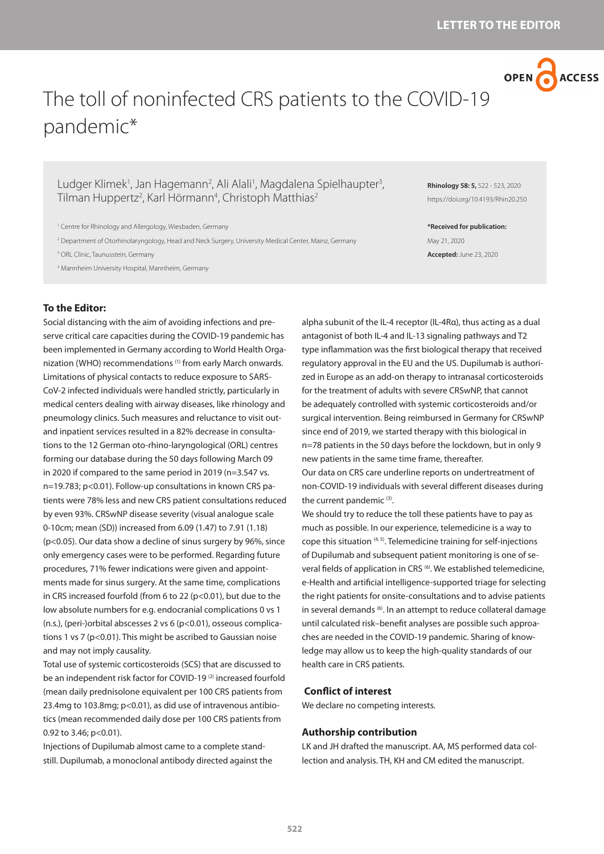

# The toll of noninfected CRS patients to the COVID-19 pandemic\*

Ludger Klimek<sup>1</sup>, Jan Hagemann<sup>2</sup>, Ali Alali<sup>1</sup>, Magdalena Spielhaupter<sup>3</sup>, Tilman Huppertz<sup>2</sup>, Karl Hörmann<sup>4</sup>, Christoph Matthias<sup>2</sup>

<sup>1</sup> Centre for Rhinology and Allergology, Wiesbaden, Germany

2 Department of Otorhinolaryngology, Head and Neck Surgery, University Medical Center, Mainz, Germany

3 ORL Clinic, Taunusstein, Germany

4 Mannheim University Hospital, Mannheim, Germany

## **To the Editor:**

Social distancing with the aim of avoiding infections and preserve critical care capacities during the COVID-19 pandemic has been implemented in Germany according to World Health Organization (WHO) recommendations (1) from early March onwards. Limitations of physical contacts to reduce exposure to SARS-CoV-2 infected individuals were handled strictly, particularly in medical centers dealing with airway diseases, like rhinology and pneumology clinics. Such measures and reluctance to visit outand inpatient services resulted in a 82% decrease in consultations to the 12 German oto-rhino-laryngological (ORL) centres forming our database during the 50 days following March 09 in 2020 if compared to the same period in 2019 (n=3.547 vs. n=19.783; p<0.01). Follow-up consultations in known CRS patients were 78% less and new CRS patient consultations reduced by even 93%. CRSwNP disease severity (visual analogue scale 0-10cm; mean (SD)) increased from 6.09 (1.47) to 7.91 (1.18) (p<0.05). Our data show a decline of sinus surgery by 96%, since only emergency cases were to be performed. Regarding future procedures, 71% fewer indications were given and appointments made for sinus surgery. At the same time, complications in CRS increased fourfold (from 6 to 22 (p<0.01), but due to the low absolute numbers for e.g. endocranial complications 0 vs 1 (n.s.), (peri-)orbital abscesses 2 vs 6 (p<0.01), osseous complications 1 vs 7 (p<0.01). This might be ascribed to Gaussian noise and may not imply causality.

Total use of systemic corticosteroids (SCS) that are discussed to be an independent risk factor for COVID-19<sup>(2)</sup> increased fourfold (mean daily prednisolone equivalent per 100 CRS patients from 23.4mg to 103.8mg; p<0.01), as did use of intravenous antibiotics (mean recommended daily dose per 100 CRS patients from 0.92 to 3.46; p<0.01).

Injections of Dupilumab almost came to a complete standstill. Dupilumab, a monoclonal antibody directed against the **Rhinology 58: 5,** 522 - 523, 2020 https://doi.org/10.4193/Rhin20.250

**\*Received for publication:** May 21, 2020 **Accepted:** June 23, 2020

alpha subunit of the IL-4 receptor (IL-4Rα), thus acting as a dual antagonist of both IL-4 and IL-13 signaling pathways and T2 type inflammation was the first biological therapy that received regulatory approval in the EU and the US. Dupilumab is authorized in Europe as an add-on therapy to intranasal corticosteroids for the treatment of adults with severe CRSwNP, that cannot be adequately controlled with systemic corticosteroids and/or surgical intervention. Being reimbursed in Germany for CRSwNP since end of 2019, we started therapy with this biological in n=78 patients in the 50 days before the lockdown, but in only 9 new patients in the same time frame, thereafter. Our data on CRS care underline reports on undertreatment of non-COVID-19 individuals with several different diseases during the current pandemic (3).

We should try to reduce the toll these patients have to pay as much as possible. In our experience, telemedicine is a way to cope this situation  $(4, 5)$ . Telemedicine training for self-injections of Dupilumab and subsequent patient monitoring is one of several fields of application in CRS<sup>(6)</sup>. We established telemedicine, e-Health and artificial intelligence-supported triage for selecting the right patients for onsite-consultations and to advise patients in several demands<sup>(6)</sup>. In an attempt to reduce collateral damage until calculated risk–benefit analyses are possible such approaches are needed in the COVID-19 pandemic. Sharing of knowledge may allow us to keep the high-quality standards of our health care in CRS patients.

#### **Conflict of interest**

We declare no competing interests.

#### **Authorship contribution**

LK and JH drafted the manuscript. AA, MS performed data collection and analysis. TH, KH and CM edited the manuscript.